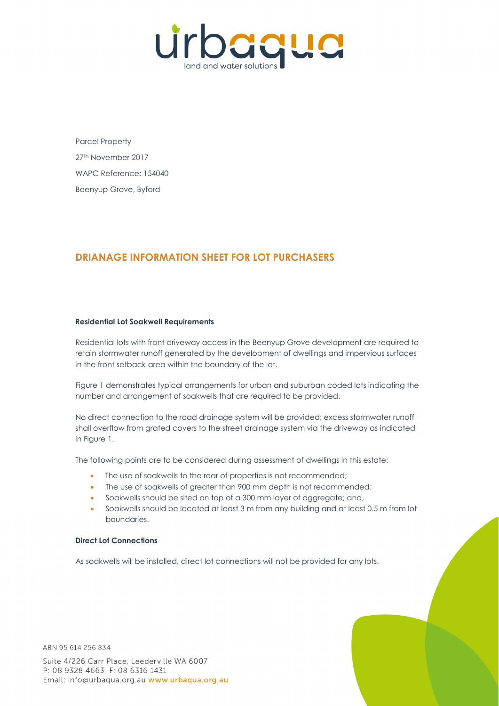

Parcel Property 27th November 2017 WAPC Reference: 154040 Beenyup Grove, Byford

## **DRIANAGE INFORMATION SHEET FOR LOT PURCHASERS**

## **Residential Lot Soakwell Requirements**

Residential lots with front driveway access in the Beenyup Grove development are required to retain stormwater runoff generated by the development of dwellings and impervious surfaces in the front setback area within the boundary of the lot.

Figure 1 demonstrates typical arrangements for urban and suburban coded lots indicating the number and arrangement of soakwells that are required to be provided.

No direct connection to the road drainage system will be provided; excess stormwater runoff shall overflow from grated covers to the street drainage system via the driveway as indicated in Figure 1.

The following points are to be considered during assessment of dwellings in this estate:

- The use of soakwells to the rear of properties is not recommended:
- The use of soakwells of greater than 900 mm depth is not recommended;
- Soakwells should be sited on top of a 300 mm layer of aggregate; and,
- Soakwells should be located at least 3 m from any building and at least 0.5 m from lot boundaries.

## **Direct Lot Connections**

As soakwells will be installed, direct lot connections will not be provided for any lots.

ABN 95 614 256 834